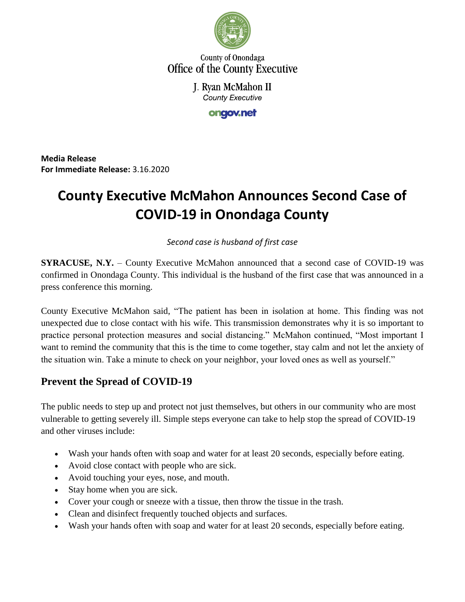

County of Onondaga Office of the County Executive

> J. Ryan McMahon II **County Executive**

> > ongov.net

**Media Release For Immediate Release:** 3.16.2020

# **County Executive McMahon Announces Second Case of COVID-19 in Onondaga County**

#### *Second case is husband of first case*

**SYRACUSE, N.Y.** – County Executive McMahon announced that a second case of COVID-19 was confirmed in Onondaga County. This individual is the husband of the first case that was announced in a press conference this morning.

County Executive McMahon said, "The patient has been in isolation at home. This finding was not unexpected due to close contact with his wife. This transmission demonstrates why it is so important to practice personal protection measures and social distancing." McMahon continued, "Most important I want to remind the community that this is the time to come together, stay calm and not let the anxiety of the situation win. Take a minute to check on your neighbor, your loved ones as well as yourself."

## **Prevent the Spread of COVID-19**

The public needs to step up and protect not just themselves, but others in our community who are most vulnerable to getting severely ill. Simple steps everyone can take to help stop the spread of COVID-19 and other viruses include:

- Wash your hands often with soap and water for at least 20 seconds, especially before eating.
- Avoid close contact with people who are sick.
- Avoid touching your eyes, nose, and mouth.
- Stay home when you are sick.
- Cover your cough or sneeze with a tissue, then throw the tissue in the trash.
- Clean and disinfect frequently touched objects and surfaces.
- Wash your hands often with soap and water for at least 20 seconds, especially before eating.